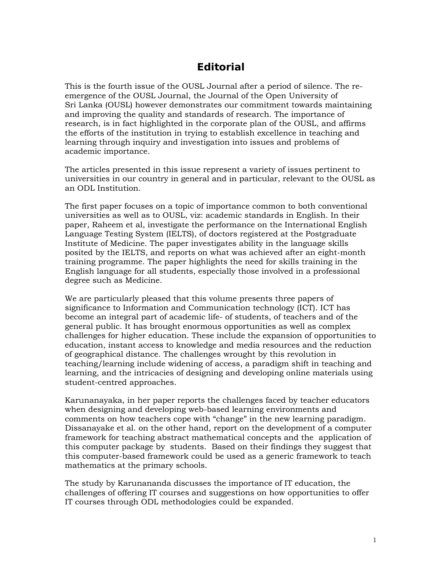## **Editorial**

This is the fourth issue of the OUSL Journal after a period of silence. The reemergence of the OUSL Journal, the Journal of the Open University of Sri Lanka (OUSL) however demonstrates our commitment towards maintaining and improving the quality and standards of research. The importance of research, is in fact highlighted in the corporate plan of the OUSL, and affirms the efforts of the institution in trying to establish excellence in teaching and learning through inquiry and investigation into issues and problems of academic importance.

The articles presented in this issue represent a variety of issues pertinent to universities in our country in general and in particular, relevant to the OUSL as an ODL Institution.

The first paper focuses on a topic of importance common to both conventional universities as well as to OUSL, viz: academic standards in English. In their paper, Raheem et al, investigate the performance on the International English Language Testing System (IELTS), of doctors registered at the Postgraduate Institute of Medicine. The paper investigates ability in the language skills posited by the IELTS, and reports on what was achieved after an eight-month training programme. The paper highlights the need for skills training in the English language for all students, especially those involved in a professional degree such as Medicine.

We are particularly pleased that this volume presents three papers of significance to Information and Communication technology (ICT). ICT has become an integral part of academic life- of students, of teachers and of the general public. It has brought enormous opportunities as well as complex challenges for higher education. These include the expansion of opportunities to education, instant access to knowledge and media resources and the reduction of geographical distance. The challenges wrought by this revolution in teaching/learning include widening of access, a paradigm shift in teaching and learning, and the intricacies of designing and developing online materials using student-centred approaches.

Karunanayaka, in her paper reports the challenges faced by teacher educators when designing and developing web-based learning environments and comments on how teachers cope with "change" in the new learning paradigm. Dissanayake et al. on the other hand, report on the development of a computer framework for teaching abstract mathematical concepts and the application of this computer package by students. Based on their findings they suggest that this computer-based framework could be used as a generic framework to teach mathematics at the primary schools.

The study by Karunananda discusses the importance of IT education, the challenges of offering IT courses and suggestions on how opportunities to offer IT courses through ODL methodologies could be expanded.